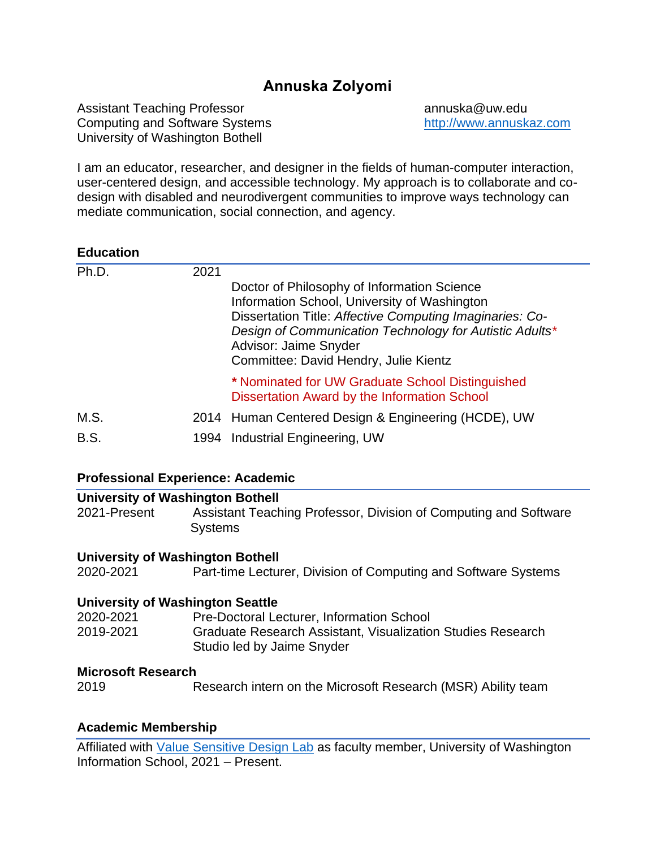# **Annuska Zolyomi**

Assistant Teaching Professor annuska@uw.edu Computing and Software Systems [http://www.annuskaz.com](http://www.annuskaz.com/) University of Washington Bothell

I am an educator, researcher, and designer in the fields of human-computer interaction, user-centered design, and accessible technology. My approach is to collaborate and codesign with disabled and neurodivergent communities to improve ways technology can mediate communication, social connection, and agency.

### **Education**

| Ph.D.       | 2021 | Doctor of Philosophy of Information Science<br>Information School, University of Washington<br>Dissertation Title: Affective Computing Imaginaries: Co-<br>Design of Communication Technology for Autistic Adults*<br>Advisor: Jaime Snyder<br>Committee: David Hendry, Julie Kientz |
|-------------|------|--------------------------------------------------------------------------------------------------------------------------------------------------------------------------------------------------------------------------------------------------------------------------------------|
|             |      | * Nominated for UW Graduate School Distinguished<br>Dissertation Award by the Information School                                                                                                                                                                                     |
| M.S.        |      | 2014 Human Centered Design & Engineering (HCDE), UW                                                                                                                                                                                                                                  |
| <b>B.S.</b> |      | 1994 Industrial Engineering, UW                                                                                                                                                                                                                                                      |
|             |      |                                                                                                                                                                                                                                                                                      |

### **Professional Experience: Academic**

#### **University of Washington Bothell** 2021-Present Assistant Teaching Professor, Division of Computing and Software **Systems**

### **University of Washington Bothell**

2020-2021 Part-time Lecturer, Division of Computing and Software Systems

### **University of Washington Seattle**

| 2020-2021 | <b>Pre-Doctoral Lecturer, Information School</b>                   |
|-----------|--------------------------------------------------------------------|
| 2019-2021 | <b>Graduate Research Assistant, Visualization Studies Research</b> |
|           | Studio led by Jaime Snyder                                         |

### **Microsoft Research**

2019 Research intern on the Microsoft Research (MSR) Ability team

### **Academic Membership**

Affiliated with [Value Sensitive Design Lab](https://vsdesign.org/thelab/) as faculty member, University of Washington Information School, 2021 – Present.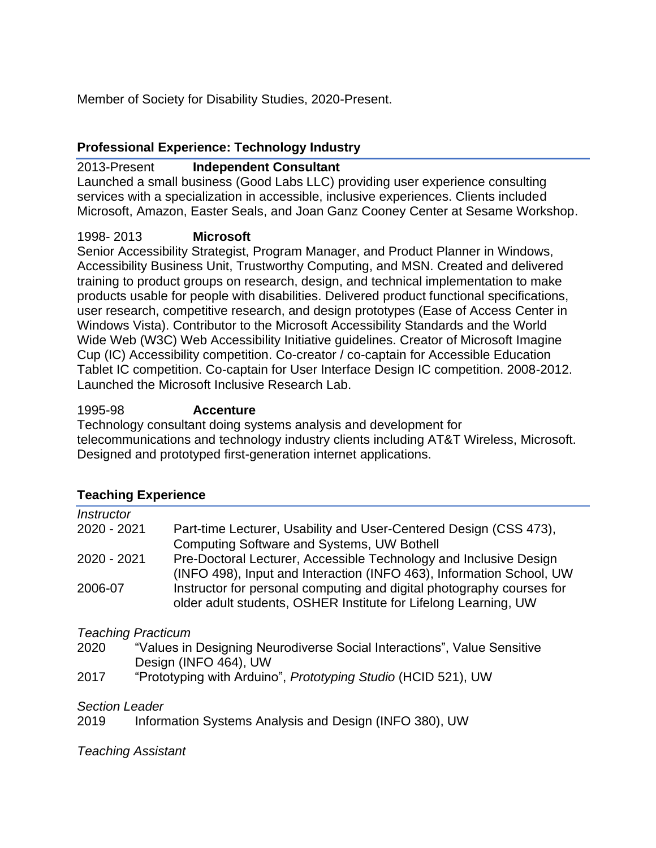Member of Society for Disability Studies, 2020-Present.

## **Professional Experience: Technology Industry**

## 2013-Present **Independent Consultant**

Launched a small business (Good Labs LLC) providing user experience consulting services with a specialization in accessible, inclusive experiences. Clients included Microsoft, Amazon, Easter Seals, and Joan Ganz Cooney Center at Sesame Workshop.

## 1998- 2013 **Microsoft**

Senior Accessibility Strategist, Program Manager, and Product Planner in Windows, Accessibility Business Unit, Trustworthy Computing, and MSN. Created and delivered training to product groups on research, design, and technical implementation to make products usable for people with disabilities. Delivered product functional specifications, user research, competitive research, and design prototypes (Ease of Access Center in Windows Vista). Contributor to the Microsoft Accessibility Standards and the World Wide Web (W3C) Web Accessibility Initiative guidelines. Creator of Microsoft Imagine Cup (IC) Accessibility competition. Co-creator / co-captain for Accessible Education Tablet IC competition. Co-captain for User Interface Design IC competition. 2008-2012. Launched the Microsoft Inclusive Research Lab.

## 1995-98 **Accenture**

Technology consultant doing systems analysis and development for telecommunications and technology industry clients including AT&T Wireless, Microsoft. Designed and prototyped first-generation internet applications.

## **Teaching Experience**

| <b>Instructor</b> |                                                                                                                                           |
|-------------------|-------------------------------------------------------------------------------------------------------------------------------------------|
| 2020 - 2021       | Part-time Lecturer, Usability and User-Centered Design (CSS 473),                                                                         |
|                   | Computing Software and Systems, UW Bothell                                                                                                |
| 2020 - 2021       | Pre-Doctoral Lecturer, Accessible Technology and Inclusive Design<br>(INFO 498), Input and Interaction (INFO 463), Information School, UW |
| 2006-07           | Instructor for personal computing and digital photography courses for<br>older adult students, OSHER Institute for Lifelong Learning, UW  |
|                   |                                                                                                                                           |

*Teaching Practicum*

- 2020 "Values in Designing Neurodiverse Social Interactions", Value Sensitive Design (INFO 464), UW
- 2017 "Prototyping with Arduino", *Prototyping Studio* (HCID 521), UW

## *Section Leader*

2019 Information Systems Analysis and Design (INFO 380), UW

*Teaching Assistant*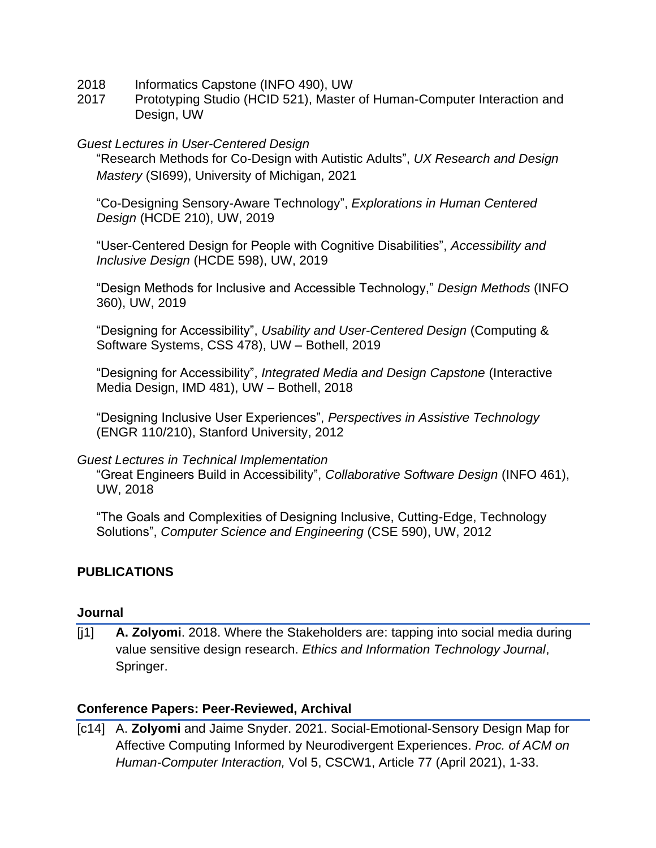- 2018 Informatics Capstone (INFO 490), UW
- 2017 Prototyping Studio (HCID 521), Master of Human-Computer Interaction and Design, UW

## *Guest Lectures in User-Centered Design*

"Research Methods for Co-Design with Autistic Adults", *UX Research and Design Mastery* (SI699), University of Michigan, 2021

"Co-Designing Sensory-Aware Technology", *Explorations in Human Centered Design* (HCDE 210), UW, 2019

"User-Centered Design for People with Cognitive Disabilities", *Accessibility and Inclusive Design* (HCDE 598), UW, 2019

"Design Methods for Inclusive and Accessible Technology," *Design Methods* (INFO 360), UW, 2019

"Designing for Accessibility", *Usability and User-Centered Design* (Computing & Software Systems, CSS 478), UW – Bothell, 2019

"Designing for Accessibility", *Integrated Media and Design Capstone* (Interactive Media Design, IMD 481), UW – Bothell, 2018

"Designing Inclusive User Experiences", *Perspectives in Assistive Technology* (ENGR 110/210), Stanford University, 2012

## *Guest Lectures in Technical Implementation*

"Great Engineers Build in Accessibility", *Collaborative Software Design* (INFO 461), UW, 2018

"The Goals and Complexities of Designing Inclusive, Cutting-Edge, Technology Solutions", *Computer Science and Engineering* (CSE 590), UW, 2012

## **PUBLICATIONS**

## **Journal**

[j1] **A. Zolyomi**. 2018. Where the Stakeholders are: tapping into social media during value sensitive design research. *Ethics and Information Technology Journal*, Springer.

## **Conference Papers: Peer-Reviewed, Archival**

[c14] A. **Zolyomi** and Jaime Snyder. 2021. Social-Emotional-Sensory Design Map for Affective Computing Informed by Neurodivergent Experiences. *Proc. of ACM on Human-Computer Interaction,* Vol 5, CSCW1, Article 77 (April 2021), 1-33.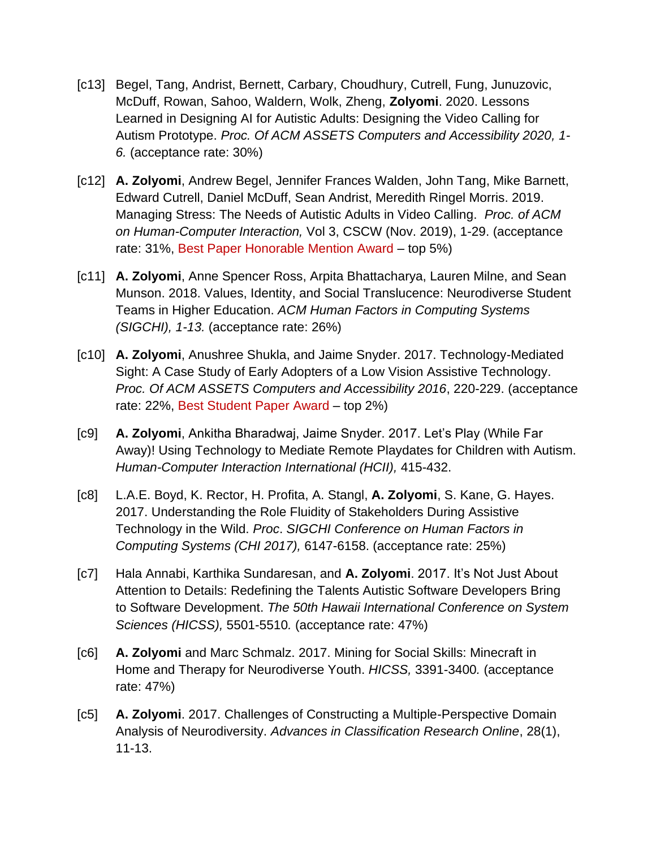- [c13] Begel, Tang, Andrist, Bernett, Carbary, Choudhury, Cutrell, Fung, Junuzovic, McDuff, Rowan, Sahoo, Waldern, Wolk, Zheng, **Zolyomi**. 2020. Lessons Learned in Designing AI for Autistic Adults: Designing the Video Calling for Autism Prototype. *Proc. Of ACM ASSETS Computers and Accessibility 2020, 1- 6.* (acceptance rate: 30%)
- [c12] **A. Zolyomi**, Andrew Begel, Jennifer Frances Walden, John Tang, Mike Barnett, Edward Cutrell, Daniel McDuff, Sean Andrist, Meredith Ringel Morris. 2019. Managing Stress: The Needs of Autistic Adults in Video Calling. *Proc. of ACM on Human-Computer Interaction,* Vol 3, CSCW (Nov. 2019), 1-29. (acceptance rate: 31%, Best Paper Honorable Mention Award – top 5%)
- [c11] **A. Zolyomi**, Anne Spencer Ross, Arpita Bhattacharya, Lauren Milne, and Sean Munson. 2018. Values, Identity, and Social Translucence: Neurodiverse Student Teams in Higher Education. *ACM Human Factors in Computing Systems (SIGCHI), 1-13.* (acceptance rate: 26%)
- [c10] **A. Zolyomi**, Anushree Shukla, and Jaime Snyder. 2017. Technology-Mediated Sight: A Case Study of Early Adopters of a Low Vision Assistive Technology. *Proc. Of ACM ASSETS Computers and Accessibility 2016*, 220-229. (acceptance rate: 22%, Best Student Paper Award – top 2%)
- [c9] **A. Zolyomi**, Ankitha Bharadwaj, Jaime Snyder. 2017. Let's Play (While Far Away)! Using Technology to Mediate Remote Playdates for Children with Autism. *Human-Computer Interaction International (HCII),* 415-432.
- [c8] L.A.E. Boyd, K. Rector, H. Profita, A. Stangl, **A. Zolyomi**, S. Kane, G. Hayes. 2017. Understanding the Role Fluidity of Stakeholders During Assistive Technology in the Wild. *Proc*. *SIGCHI Conference on Human Factors in Computing Systems (CHI 2017),* 6147-6158. (acceptance rate: 25%)
- [c7] Hala Annabi, Karthika Sundaresan, and **A. Zolyomi**. 2017. It's Not Just About Attention to Details: Redefining the Talents Autistic Software Developers Bring to Software Development. *The 50th Hawaii International Conference on System Sciences (HICSS),* 5501-5510*.* (acceptance rate: 47%)
- [c6] **A. Zolyomi** and Marc Schmalz. 2017. Mining for Social Skills: Minecraft in Home and Therapy for Neurodiverse Youth. *HICSS,* 3391-3400*.* (acceptance rate: 47%)
- [c5] **A. Zolyomi**. 2017. Challenges of Constructing a Multiple-Perspective Domain Analysis of Neurodiversity. *Advances in Classification Research Online*, 28(1), 11-13.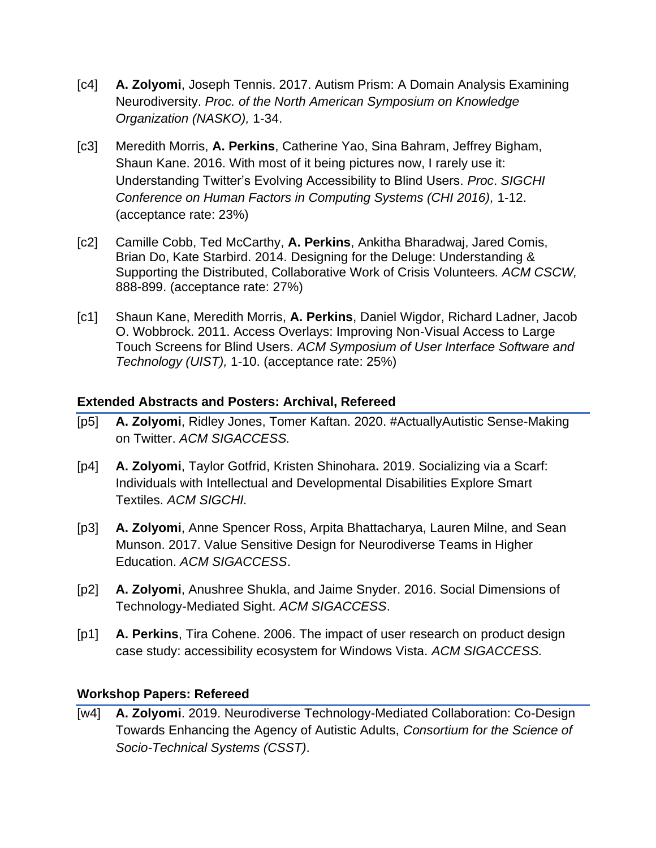- [c4] **A. Zolyomi**, Joseph Tennis. 2017. Autism Prism: A Domain Analysis Examining Neurodiversity. *Proc. of the North American Symposium on Knowledge Organization (NASKO),* 1-34.
- [c3] Meredith Morris, **A. Perkins**, Catherine Yao, Sina Bahram, Jeffrey Bigham, Shaun Kane. 2016. With most of it being pictures now, I rarely use it: Understanding Twitter's Evolving Accessibility to Blind Users. *Proc*. *SIGCHI Conference on Human Factors in Computing Systems (CHI 2016),* 1-12. (acceptance rate: 23%)
- [c2] Camille Cobb, Ted McCarthy, **A. Perkins**, Ankitha Bharadwaj, Jared Comis, Brian Do, Kate Starbird. 2014. Designing for the Deluge: Understanding & Supporting the Distributed, Collaborative Work of Crisis Volunteers*. ACM CSCW,*  888-899. (acceptance rate: 27%)
- [c1] Shaun Kane, Meredith Morris, **A. Perkins**, Daniel Wigdor, Richard Ladner, Jacob O. Wobbrock. 2011. Access Overlays: Improving Non-Visual Access to Large Touch Screens for Blind Users. *ACM Symposium of User Interface Software and Technology (UIST),* 1-10. (acceptance rate: 25%)

## **Extended Abstracts and Posters: Archival, Refereed**

- [p5] **A. Zolyomi**, Ridley Jones, Tomer Kaftan. 2020. #ActuallyAutistic Sense-Making on Twitter. *ACM SIGACCESS.*
- [p4] **A. Zolyomi**, Taylor Gotfrid, Kristen Shinohara**.** 2019. Socializing via a Scarf: Individuals with Intellectual and Developmental Disabilities Explore Smart Textiles. *ACM SIGCHI.*
- [p3] **A. Zolyomi**, Anne Spencer Ross, Arpita Bhattacharya, Lauren Milne, and Sean Munson. 2017. Value Sensitive Design for Neurodiverse Teams in Higher Education. *ACM SIGACCESS*.
- [p2] **A. Zolyomi**, Anushree Shukla, and Jaime Snyder. 2016. Social Dimensions of Technology-Mediated Sight. *ACM SIGACCESS*.
- [p1] **A. Perkins**, Tira Cohene. 2006. The impact of user research on product design case study: accessibility ecosystem for Windows Vista. *ACM SIGACCESS.*

## **Workshop Papers: Refereed**

[w4] **A. Zolyomi**. 2019. Neurodiverse Technology-Mediated Collaboration: Co-Design Towards Enhancing the Agency of Autistic Adults, *Consortium for the Science of Socio-Technical Systems (CSST)*.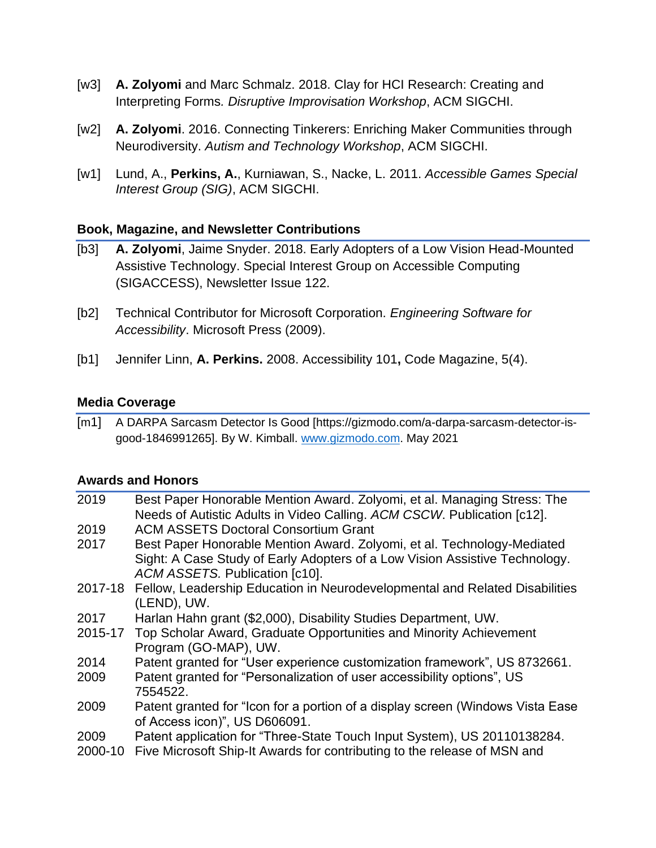- [w3] **A. Zolyomi** and Marc Schmalz. 2018. Clay for HCI Research: Creating and Interpreting Forms*. Disruptive Improvisation Workshop*, ACM SIGCHI.
- [w2] **A. Zolyomi**. 2016. Connecting Tinkerers: Enriching Maker Communities through Neurodiversity. *Autism and Technology Workshop*, ACM SIGCHI.
- [w1] Lund, A., **Perkins, A.**, Kurniawan, S., Nacke, L. 2011. *Accessible Games Special Interest Group (SIG)*, ACM SIGCHI.

## **Book, Magazine, and Newsletter Contributions**

- [b3] **A. Zolyomi**, Jaime Snyder. 2018. Early Adopters of a Low Vision Head-Mounted Assistive Technology. Special Interest Group on Accessible Computing (SIGACCESS), Newsletter Issue 122.
- [b2] Technical Contributor for Microsoft Corporation. *Engineering Software for Accessibility*. Microsoft Press (2009).
- [b1] Jennifer Linn, **A. Perkins.** 2008. Accessibility 101**,** Code Magazine, 5(4).

## **Media Coverage**

[m1] A DARPA Sarcasm Detector Is Good [https://gizmodo.com/a-darpa-sarcasm-detector-isgood-1846991265]. By W. Kimball. [www.gizmodo.com.](http://www.gizmodo.com/) May 2021

## **Awards and Honors**

| 2019    | Best Paper Honorable Mention Award. Zolyomi, et al. Managing Stress: The       |
|---------|--------------------------------------------------------------------------------|
|         | Needs of Autistic Adults in Video Calling. ACM CSCW. Publication [c12].        |
| 2019    | <b>ACM ASSETS Doctoral Consortium Grant</b>                                    |
| 2017    | Best Paper Honorable Mention Award. Zolyomi, et al. Technology-Mediated        |
|         | Sight: A Case Study of Early Adopters of a Low Vision Assistive Technology.    |
|         | ACM ASSETS. Publication [c10].                                                 |
| 2017-18 | Fellow, Leadership Education in Neurodevelopmental and Related Disabilities    |
|         | (LEND), UW.                                                                    |
| 2017    | Harlan Hahn grant (\$2,000), Disability Studies Department, UW.                |
| 2015-17 | Top Scholar Award, Graduate Opportunities and Minority Achievement             |
|         | Program (GO-MAP), UW.                                                          |
| 2014    | Patent granted for "User experience customization framework", US 8732661.      |
| 2009    | Patent granted for "Personalization of user accessibility options", US         |
|         | 7554522.                                                                       |
| 2009    | Patent granted for "Icon for a portion of a display screen (Windows Vista Ease |
|         | of Access icon)", US D606091.                                                  |
| 2009    | Patent application for "Three-State Touch Input System), US 20110138284.       |
| 2000-10 | Five Microsoft Ship-It Awards for contributing to the release of MSN and       |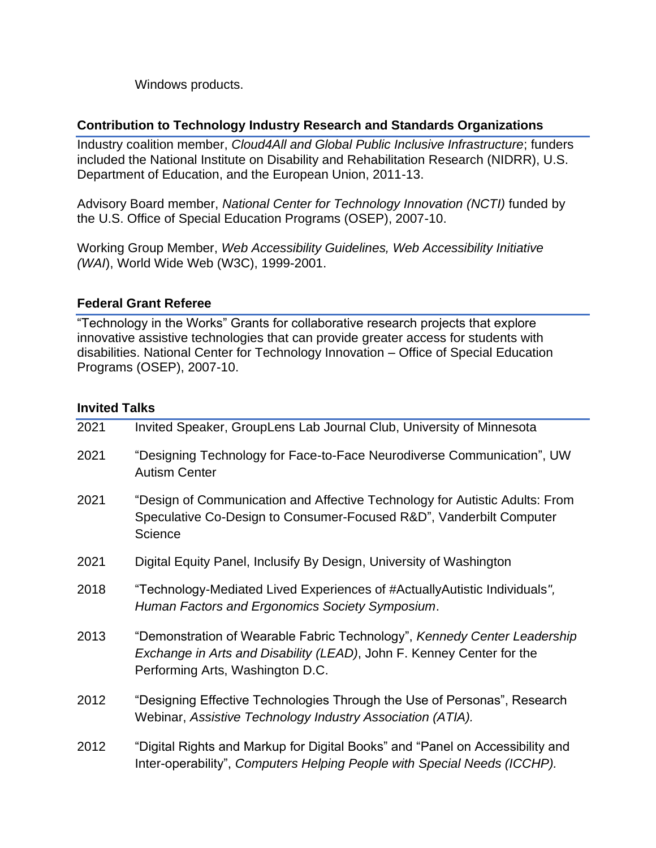Windows products.

## **Contribution to Technology Industry Research and Standards Organizations**

Industry coalition member, *Cloud4All and Global Public Inclusive Infrastructure*; funders included the National Institute on Disability and Rehabilitation Research (NIDRR), U.S. Department of Education, and the European Union, 2011-13.

Advisory Board member, *National Center for Technology Innovation (NCTI)* funded by the U.S. Office of Special Education Programs (OSEP), 2007-10.

Working Group Member, *Web Accessibility Guidelines, Web Accessibility Initiative (WAI*), World Wide Web (W3C), 1999-2001.

## **Federal Grant Referee**

"Technology in the Works" Grants for collaborative research projects that explore innovative assistive technologies that can provide greater access for students with disabilities. National Center for Technology Innovation – Office of Special Education Programs (OSEP), 2007-10.

## **Invited Talks**

| 2021 | Invited Speaker, GroupLens Lab Journal Club, University of Minnesota                                                                                                                  |
|------|---------------------------------------------------------------------------------------------------------------------------------------------------------------------------------------|
| 2021 | "Designing Technology for Face-to-Face Neurodiverse Communication", UW<br><b>Autism Center</b>                                                                                        |
| 2021 | "Design of Communication and Affective Technology for Autistic Adults: From<br>Speculative Co-Design to Consumer-Focused R&D", Vanderbilt Computer<br>Science                         |
| 2021 | Digital Equity Panel, Inclusify By Design, University of Washington                                                                                                                   |
| 2018 | "Technology-Mediated Lived Experiences of #ActuallyAutistic Individuals",<br>Human Factors and Ergonomics Society Symposium.                                                          |
| 2013 | "Demonstration of Wearable Fabric Technology", Kennedy Center Leadership<br>Exchange in Arts and Disability (LEAD), John F. Kenney Center for the<br>Performing Arts, Washington D.C. |
| 2012 | "Designing Effective Technologies Through the Use of Personas", Research<br>Webinar, Assistive Technology Industry Association (ATIA).                                                |
| 2012 | "Digital Rights and Markup for Digital Books" and "Panel on Accessibility and<br>Inter-operability", Computers Helping People with Special Needs (ICCHP).                             |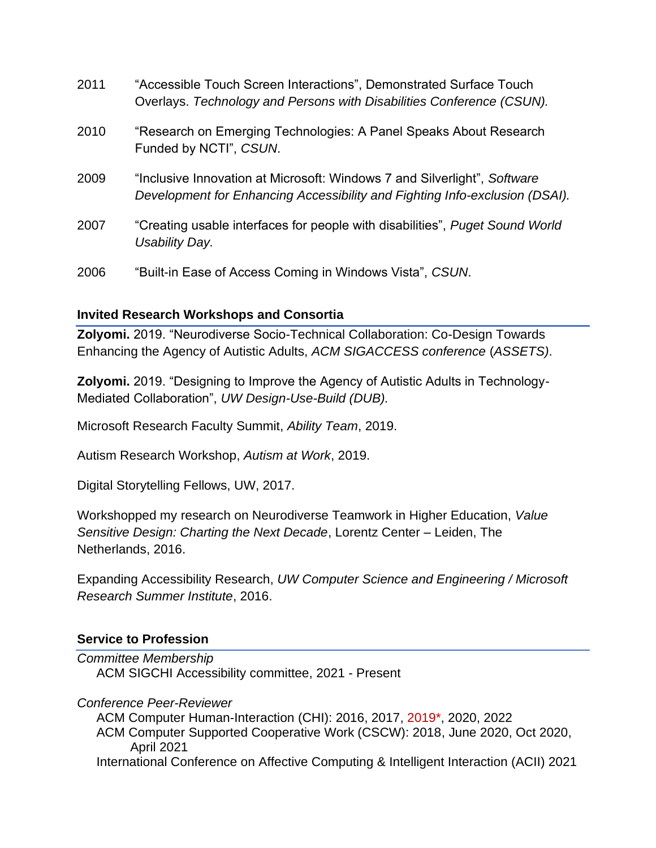| 2011 | "Accessible Touch Screen Interactions", Demonstrated Surface Touch<br>Overlays. Technology and Persons with Disabilities Conference (CSUN).             |
|------|---------------------------------------------------------------------------------------------------------------------------------------------------------|
| 2010 | "Research on Emerging Technologies: A Panel Speaks About Research<br>Funded by NCTI", CSUN.                                                             |
| 2009 | "Inclusive Innovation at Microsoft: Windows 7 and Silverlight", Software<br>Development for Enhancing Accessibility and Fighting Info-exclusion (DSAI). |
| 2007 | "Creating usable interfaces for people with disabilities", Puget Sound World<br>Usability Day.                                                          |
| 2006 | "Built-in Ease of Access Coming in Windows Vista", CSUN.                                                                                                |

## **Invited Research Workshops and Consortia**

**Zolyomi.** 2019. "Neurodiverse Socio-Technical Collaboration: Co-Design Towards Enhancing the Agency of Autistic Adults, *ACM SIGACCESS conference* (*ASSETS)*.

**Zolyomi.** 2019. "Designing to Improve the Agency of Autistic Adults in Technology-Mediated Collaboration", *UW Design-Use-Build (DUB).*

Microsoft Research Faculty Summit, *Ability Team*, 2019.

Autism Research Workshop, *Autism at Work*, 2019.

Digital Storytelling Fellows, UW, 2017.

Workshopped my research on Neurodiverse Teamwork in Higher Education, *Value Sensitive Design: Charting the Next Decade*, Lorentz Center – Leiden, The Netherlands, 2016.

Expanding Accessibility Research, *UW Computer Science and Engineering / Microsoft Research Summer Institute*, 2016.

## **Service to Profession**

*Committee Membership* ACM SIGCHI Accessibility committee, 2021 - Present

*Conference Peer-Reviewer* 

ACM Computer Human-Interaction (CHI): 2016, 2017, 2019\*, 2020, 2022 ACM Computer Supported Cooperative Work (CSCW): 2018, June 2020, Oct 2020, April 2021 International Conference on Affective Computing & Intelligent Interaction (ACII) 2021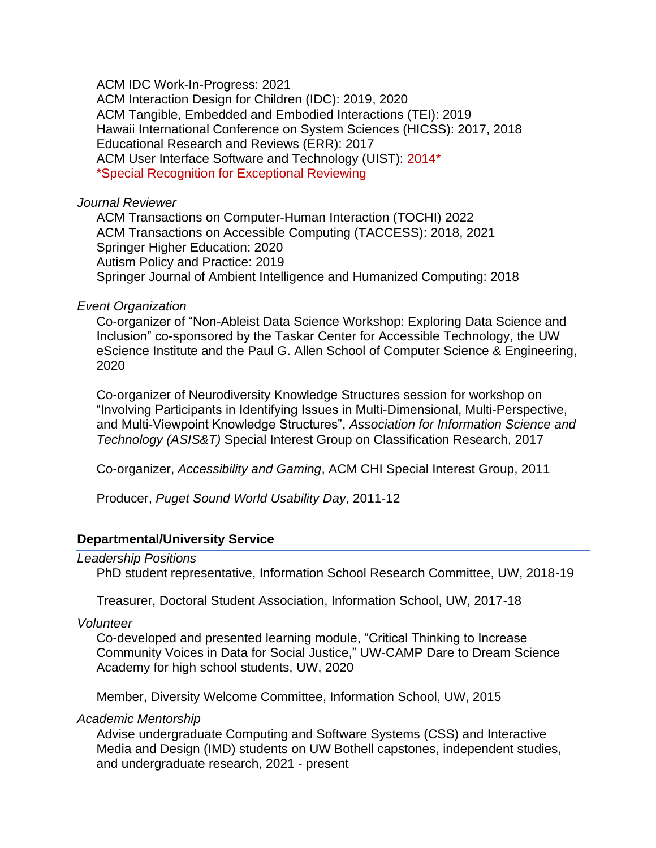ACM IDC Work-In-Progress: 2021 ACM Interaction Design for Children (IDC): 2019, 2020 ACM Tangible, Embedded and Embodied Interactions (TEI): 2019 Hawaii International Conference on System Sciences (HICSS): 2017, 2018 Educational Research and Reviews (ERR): 2017 ACM User Interface Software and Technology (UIST): 2014\* \*Special Recognition for Exceptional Reviewing

#### *Journal Reviewer*

ACM Transactions on Computer-Human Interaction (TOCHI) 2022 ACM Transactions on Accessible Computing (TACCESS): 2018, 2021 Springer Higher Education: 2020 Autism Policy and Practice: 2019 Springer Journal of Ambient Intelligence and Humanized Computing: 2018

#### *Event Organization*

Co-organizer of "Non-Ableist Data Science Workshop: Exploring Data Science and Inclusion" co-sponsored by the Taskar Center for Accessible Technology, the UW eScience Institute and the Paul G. Allen School of Computer Science & Engineering, 2020

Co-organizer of Neurodiversity Knowledge Structures session for workshop on "Involving Participants in Identifying Issues in Multi-Dimensional, Multi-Perspective, and Multi-Viewpoint Knowledge Structures", *Association for Information Science and Technology (ASIS&T)* Special Interest Group on Classification Research, 2017

Co-organizer, *Accessibility and Gaming*, ACM CHI Special Interest Group, 2011

Producer, *Puget Sound World Usability Day*, 2011-12

### **Departmental/University Service**

#### *Leadership Positions*

PhD student representative, Information School Research Committee, UW, 2018-19

Treasurer, Doctoral Student Association, Information School, UW, 2017-18

*Volunteer*

Co-developed and presented learning module, "Critical Thinking to Increase Community Voices in Data for Social Justice," UW-CAMP Dare to Dream Science Academy for high school students, UW, 2020

Member, Diversity Welcome Committee, Information School, UW, 2015

*Academic Mentorship*

Advise undergraduate Computing and Software Systems (CSS) and Interactive Media and Design (IMD) students on UW Bothell capstones, independent studies, and undergraduate research, 2021 - present